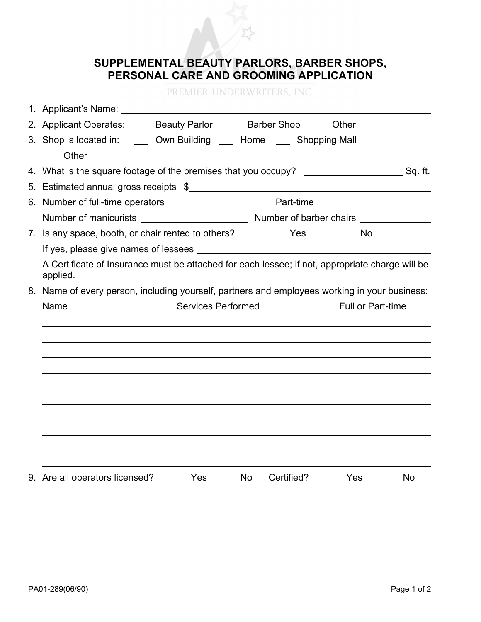

## **SUPPLEMENTAL BEAUTY PARLORS, BARBER SHOPS, PERSONAL CARE AND GROOMING APPLICATION**

PREMIER UNDERWRITERS, INC.

| 1. Applicant's Name: 1. 2008. The manufacturer of the state of the state of the state of the state of the state of the state of the state of the state of the state of the state of the state of the state of the state of the |  |
|--------------------------------------------------------------------------------------------------------------------------------------------------------------------------------------------------------------------------------|--|
| 2. Applicant Operates: ____ Beauty Parlor _____ Barber Shop ____ Other _________                                                                                                                                               |  |
| 3. Shop is located in: ______ Own Building ______ Home _____ Shopping Mall                                                                                                                                                     |  |
| ____ Other _________________________                                                                                                                                                                                           |  |
|                                                                                                                                                                                                                                |  |
| 5. Estimated annual gross receipts \$                                                                                                                                                                                          |  |
|                                                                                                                                                                                                                                |  |
|                                                                                                                                                                                                                                |  |
|                                                                                                                                                                                                                                |  |
|                                                                                                                                                                                                                                |  |
| A Certificate of Insurance must be attached for each lessee; if not, appropriate charge will be                                                                                                                                |  |
| applied.                                                                                                                                                                                                                       |  |
| 8. Name of every person, including yourself, partners and employees working in your business:                                                                                                                                  |  |
| <b>Services Performed</b><br><b>Full or Part-time</b><br><b>Name</b>                                                                                                                                                           |  |
|                                                                                                                                                                                                                                |  |
|                                                                                                                                                                                                                                |  |
|                                                                                                                                                                                                                                |  |
|                                                                                                                                                                                                                                |  |
|                                                                                                                                                                                                                                |  |
|                                                                                                                                                                                                                                |  |
|                                                                                                                                                                                                                                |  |
|                                                                                                                                                                                                                                |  |
|                                                                                                                                                                                                                                |  |
| 9. Are all operators licensed?                                                                                                                                                                                                 |  |